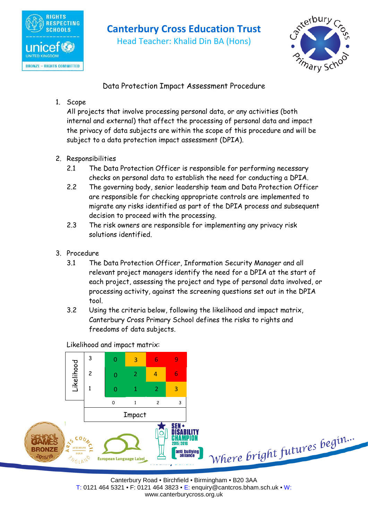

# **Canterbury Cross Education Trust**

Head Teacher: Khalid Din BA (Hons)



Data Protection Impact Assessment Procedure

## 1. Scope

All projects that involve processing personal data, or any activities (both internal and external) that affect the processing of personal data and impact the privacy of data subjects are within the scope of this procedure and will be subject to a data protection impact assessment (DPIA).

- 2. Responsibilities
	- 2.1 The Data Protection Officer is responsible for performing necessary checks on personal data to establish the need for conducting a DPIA.
	- 2.2 The governing body, senior leadership team and Data Protection Officer are responsible for checking appropriate controls are implemented to migrate any risks identified as part of the DPIA process and subsequent decision to proceed with the processing.
	- 2.3 The risk owners are responsible for implementing any privacy risk solutions identified.
- 3. Procedure
	- 3.1 The Data Protection Officer, Information Security Manager and all relevant project managers identify the need for a DPIA at the start of each project, assessing the project and type of personal data involved, or processing activity, against the screening questions set out in the DPIA tool.
	- 3.2 Using the criteria below, following the likelihood and impact matrix, Canterbury Cross Primary School defines the risks to rights and freedoms of data subjects.

Likelihood and impact matrix:

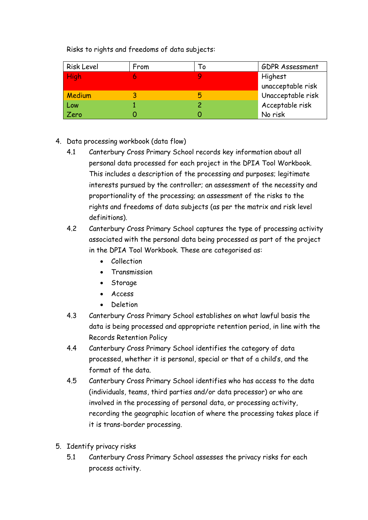Risks to rights and freedoms of data subjects:

| <b>Risk Level</b> | From | ۱o | <b>GDPR Assessment</b> |
|-------------------|------|----|------------------------|
| <b>High</b>       |      |    | Highest                |
|                   |      |    | unacceptable risk      |
| <b>Medium</b>     |      | Б  | Unacceptable risk      |
| Low               |      |    | Acceptable risk        |
| Zero              |      |    | No risk                |

### 4. Data processing workbook (data flow)

- 4.1 Canterbury Cross Primary School records key information about all personal data processed for each project in the DPIA Tool Workbook. This includes a description of the processing and purposes; legitimate interests pursued by the controller; an assessment of the necessity and proportionality of the processing; an assessment of the risks to the rights and freedoms of data subjects (as per the matrix and risk level definitions).
- 4.2 Canterbury Cross Primary School captures the type of processing activity associated with the personal data being processed as part of the project in the DPIA Tool Workbook. These are categorised as:
	- Collection
	- Transmission
	- Storage
	- Access
	- Deletion
- 4.3 Canterbury Cross Primary School establishes on what lawful basis the data is being processed and appropriate retention period, in line with the Records Retention Policy
- 4.4 Canterbury Cross Primary School identifies the category of data processed, whether it is personal, special or that of a child's, and the format of the data.
- 4.5 Canterbury Cross Primary School identifies who has access to the data (individuals, teams, third parties and/or data processor) or who are involved in the processing of personal data, or processing activity, recording the geographic location of where the processing takes place if it is trans-border processing.
- 5. Identify privacy risks
	- 5.1 Canterbury Cross Primary School assesses the privacy risks for each process activity.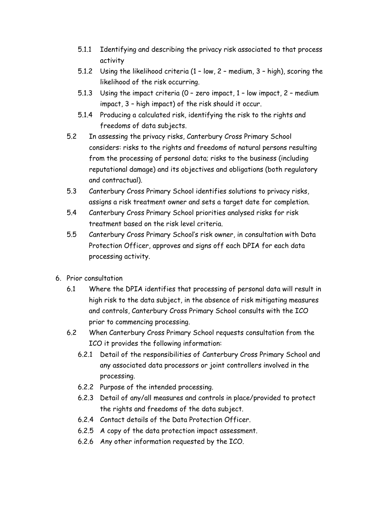- 5.1.1 Identifying and describing the privacy risk associated to that process activity
- 5.1.2 Using the likelihood criteria (1 low, 2 medium, 3 high), scoring the likelihood of the risk occurring.
- 5.1.3 Using the impact criteria (0 zero impact, 1 low impact, 2 medium impact, 3 – high impact) of the risk should it occur.
- 5.1.4 Producing a calculated risk, identifying the risk to the rights and freedoms of data subjects.
- 5.2 In assessing the privacy risks, Canterbury Cross Primary School considers: risks to the rights and freedoms of natural persons resulting from the processing of personal data; risks to the business (including reputational damage) and its objectives and obligations (both regulatory and contractual).
- 5.3 Canterbury Cross Primary School identifies solutions to privacy risks, assigns a risk treatment owner and sets a target date for completion.
- 5.4 Canterbury Cross Primary School priorities analysed risks for risk treatment based on the risk level criteria.
- 5.5 Canterbury Cross Primary School's risk owner, in consultation with Data Protection Officer, approves and signs off each DPIA for each data processing activity.
- 6. Prior consultation
	- 6.1 Where the DPIA identifies that processing of personal data will result in high risk to the data subject, in the absence of risk mitigating measures and controls, Canterbury Cross Primary School consults with the ICO prior to commencing processing.
	- 6.2 When Canterbury Cross Primary School requests consultation from the ICO it provides the following information:
		- 6.2.1 Detail of the responsibilities of Canterbury Cross Primary School and any associated data processors or joint controllers involved in the processing.
		- 6.2.2 Purpose of the intended processing.
		- 6.2.3 Detail of any/all measures and controls in place/provided to protect the rights and freedoms of the data subject.
		- 6.2.4 Contact details of the Data Protection Officer.
		- 6.2.5 A copy of the data protection impact assessment.
		- 6.2.6 Any other information requested by the ICO.